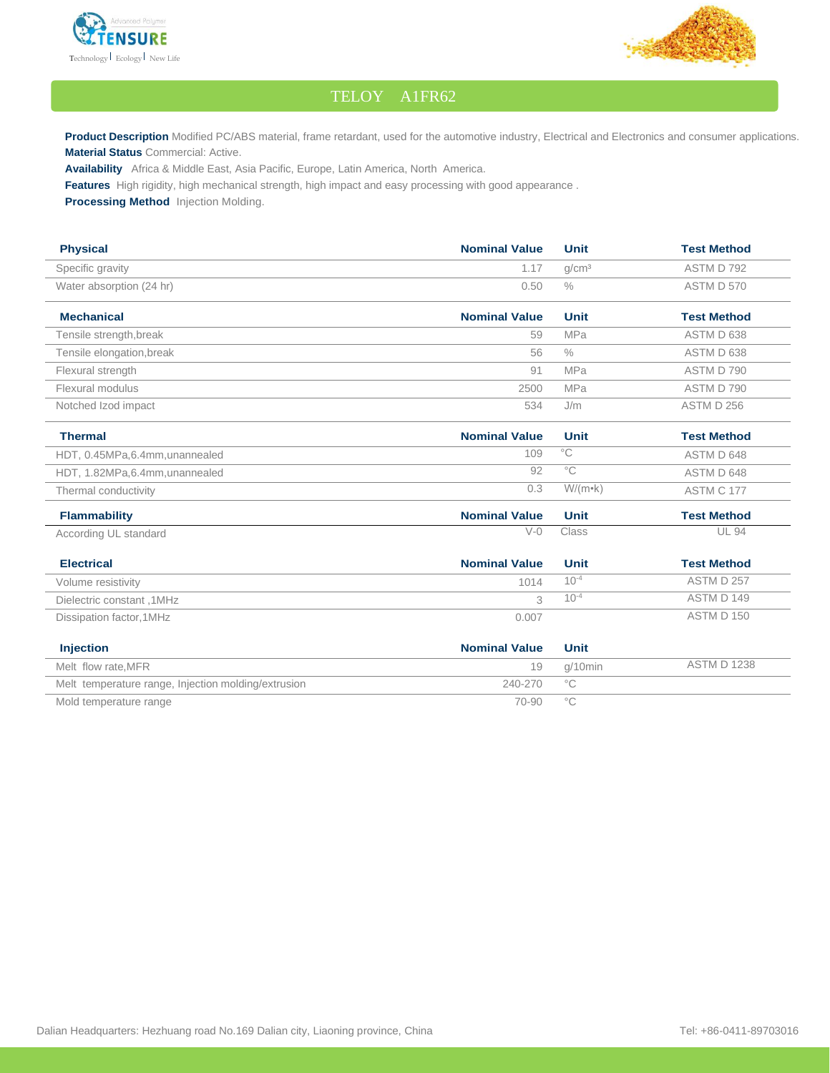



## TELOY A1FR62

Product Description Modified PC/ABS material, frame retardant, used for the automotive industry, Electrical and Electronics and consumer applications. **Material Status** Commercial: Active.

**Availability** Africa & Middle East, Asia Pacific, Europe, Latin America, North America.

**Features** High rigidity, high mechanical strength, high impact and easy processing with good appearance .

**Processing Method** Injection Molding.

| <b>Physical</b>                                     | <b>Nominal Value</b> | <b>Unit</b>       | <b>Test Method</b> |
|-----------------------------------------------------|----------------------|-------------------|--------------------|
| Specific gravity                                    | 1.17                 | q/cm <sup>3</sup> | ASTM D 792         |
| Water absorption (24 hr)                            | 0.50                 | $\frac{0}{0}$     | ASTM D 570         |
| <b>Mechanical</b>                                   | <b>Nominal Value</b> | <b>Unit</b>       | <b>Test Method</b> |
| Tensile strength, break                             | 59                   | MPa               | ASTM D 638         |
| Tensile elongation, break                           | 56                   | $\frac{0}{0}$     | ASTM D 638         |
| Flexural strength                                   | 91                   | <b>MPa</b>        | ASTM D 790         |
| Flexural modulus                                    | 2500                 | <b>MPa</b>        | ASTM D 790         |
| Notched Izod impact                                 | 534                  | J/m               | ASTM D 256         |
| <b>Thermal</b>                                      | <b>Nominal Value</b> | <b>Unit</b>       | <b>Test Method</b> |
| HDT, 0.45MPa,6.4mm, unannealed                      | 109                  | $^{\circ}$ C      | ASTM D 648         |
| HDT, 1.82MPa, 6.4mm, unannealed                     | 92                   | $^{\circ}$ C      | ASTM D 648         |
| Thermal conductivity                                | 0.3                  | $W/(m \cdot k)$   | ASTM C 177         |
| <b>Flammability</b>                                 | <b>Nominal Value</b> | <b>Unit</b>       | <b>Test Method</b> |
| According UL standard                               | $V-0$                | Class             | <b>UL 94</b>       |
| <b>Electrical</b>                                   | <b>Nominal Value</b> | <b>Unit</b>       | <b>Test Method</b> |
| Volume resistivity                                  | 1014                 | $10^{-4}$         | ASTM D 257         |
| Dielectric constant, 1MHz                           | 3                    | $10^{-4}$         | ASTM D 149         |
| Dissipation factor, 1MHz                            | 0.007                |                   | ASTM D 150         |
| <b>Injection</b>                                    | <b>Nominal Value</b> | <b>Unit</b>       |                    |
| Melt flow rate.MFR                                  | 19                   | g/10min           | <b>ASTM D 1238</b> |
| Melt temperature range, Injection molding/extrusion | 240-270              | $^{\circ}$ C      |                    |

Mold temperature range  $\sim$  70-90 °C